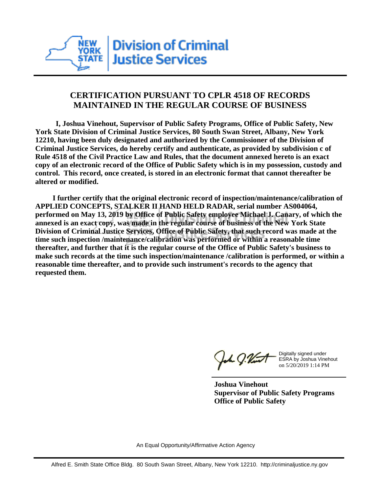

## **CERTIFICATION PURSUANT TO CPLR 4518 OF RECORDS MAINTAINED IN THE REGULAR COURSE OF BUSINESS**

 **I, Joshua Vinehout, Supervisor of Public Safety Programs, Office of Public Safety, New York State Division of Criminal Justice Services, 80 South Swan Street, Albany, New York 12210, having been duly designated and authorized by the Commissioner of the Division of Criminal Justice Services, do hereby certify and authenticate, as provided by subdivision c of Rule 4518 of the Civil Practice Law and Rules, that the document annexed hereto is an exact copy of an electronic record of the Office of Public Safety which is in my possession, custody and control. This record, once created, is stored in an electronic format that cannot thereafter be altered or modified.**

 **I further certify that the original electronic record of inspection/maintenance/calibration of APPLIED CONCEPTS, STALKER II HAND HELD RADAR, serial number AS004064, performed on May 13, 2019 by Office of Public Safety employee Michael J. Canary, of which the annexed is an exact copy, was made in the regular course of business of the New York State Division of Criminal Justice Services, Office of Public Safety, that such record was made at the time such inspection /maintenance/calibration was performed or within a reasonable time thereafter, and further that it is the regular course of the Office of Public Safety's business to make such records at the time such inspection/maintenance /calibration is performed, or within a reasonable time thereafter, and to provide such instrument's records to the agency that requested them.**

the J. Vint

Digitally signed under ESRA by Joshua Vinehout on 5/20/2019 1:14 PM

**Joshua Vinehout Supervisor of Public Safety Programs Office of Public Safety**

An Equal Opportunity/Affirmative Action Agency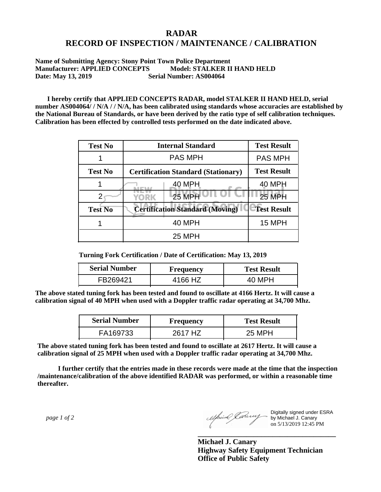## **RADAR RECORD OF INSPECTION / MAINTENANCE / CALIBRATION**

**Name of Submitting Agency: Stony Point Town Police Department Manufacturer: APPLIED CONCEPTS Model: STALKER II HAND HELD Date: May 13, 2019 Serial Number: AS004064** 

 **I hereby certify that APPLIED CONCEPTS RADAR, model STALKER II HAND HELD, serial number AS004064/ / N/A / / N/A, has been calibrated using standards whose accuracies are established by the National Bureau of Standards, or have been derived by the ratio type of self calibration techniques. Calibration has been effected by controlled tests performed on the date indicated above.**

| <b>Test No</b> | <b>Internal Standard</b>                   | <b>Test Result</b> |
|----------------|--------------------------------------------|--------------------|
|                | <b>PAS MPH</b>                             | <b>PAS MPH</b>     |
| <b>Test No</b> | <b>Certification Standard (Stationary)</b> | <b>Test Result</b> |
|                | 40 MPH                                     | 40 MPH             |
|                | 25 MPH<br>YORK                             | 25 MPH             |
| <b>Test No</b> | <b>Certification Standard (Moving)</b>     | <b>Test Result</b> |
|                | <b>40 MPH</b>                              | <b>15 MPH</b>      |
|                | <b>25 MPH</b>                              |                    |

**Turning Fork Certification / Date of Certification: May 13, 2019**

| <b>Serial Number</b> | Frequency | <b>Test Result</b> |  |
|----------------------|-----------|--------------------|--|
| FB269421             | 4166 HZ   | 40 MPH             |  |

**The above stated tuning fork has been tested and found to oscillate at 4166 Hertz. It will cause a calibration signal of 40 MPH when used with a Doppler traffic radar operating at 34,700 Mhz.**

| <b>Serial Number</b> | Frequency | <b>Test Result</b> |  |
|----------------------|-----------|--------------------|--|
| FA169733             | 2617 HZ   | 25 MPH             |  |

**The above stated tuning fork has been tested and found to oscillate at 2617 Hertz. It will cause a calibration signal of 25 MPH when used with a Doppler traffic radar operating at 34,700 Mhz.**

 **I further certify that the entries made in these records were made at the time that the inspection /maintenance/calibration of the above identified RADAR was performed, or within a reasonable time thereafter.**

 *page 1 of 2* 

Digitally signed under ESRA by Michael J. Canary on 5/13/2019 12:45 PM

**Michael J. Canary Highway Safety Equipment Technician Office of Public Safety**

**\_\_\_\_\_\_\_\_\_\_\_\_\_\_\_\_\_\_\_\_\_\_\_\_\_\_\_\_\_\_\_\_\_\_\_\_\_**